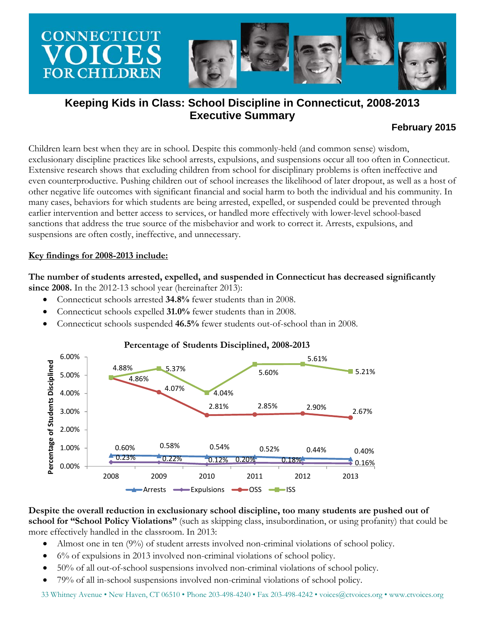

# **Keeping Kids in Class: School Discipline in Connecticut, 2008-2013 Executive Summary**

# **February 2015**

Children learn best when they are in school. Despite this commonly-held (and common sense) wisdom, exclusionary discipline practices like school arrests, expulsions, and suspensions occur all too often in Connecticut. Extensive research shows that excluding children from school for disciplinary problems is often ineffective and even counterproductive. Pushing children out of school increases the likelihood of later dropout, as well as a host of other negative life outcomes with significant financial and social harm to both the individual and his community. In many cases, behaviors for which students are being arrested, expelled, or suspended could be prevented through earlier intervention and better access to services, or handled more effectively with lower-level school-based sanctions that address the true source of the misbehavior and work to correct it. Arrests, expulsions, and suspensions are often costly, ineffective, and unnecessary.

#### **Key findings for 2008-2013 include:**

**The number of students arrested, expelled, and suspended in Connecticut has decreased significantly since 2008.** In the 2012-13 school year (hereinafter 2013):

- Connecticut schools arrested **34.8%** fewer students than in 2008.
- Connecticut schools expelled **31.0%** fewer students than in 2008.
- Connecticut schools suspended **46.5%** fewer students out-of-school than in 2008.



#### **Percentage of Students Disciplined, 2008-2013**

**Despite the overall reduction in exclusionary school discipline, too many students are pushed out of school for "School Policy Violations"** (such as skipping class, insubordination, or using profanity) that could be more effectively handled in the classroom. In 2013:

- Almost one in ten (9%) of student arrests involved non-criminal violations of school policy.
- 6% of expulsions in 2013 involved non-criminal violations of school policy.
- 50% of all out-of-school suspensions involved non-criminal violations of school policy.
- 79% of all in-school suspensions involved non-criminal violations of school policy.

33 Whitney Avenue • New Haven, CT 06510 • Phone 203-498-4240 • Fax 203-498-4242 • voices@ctvoices.org • www.ctvoices.org